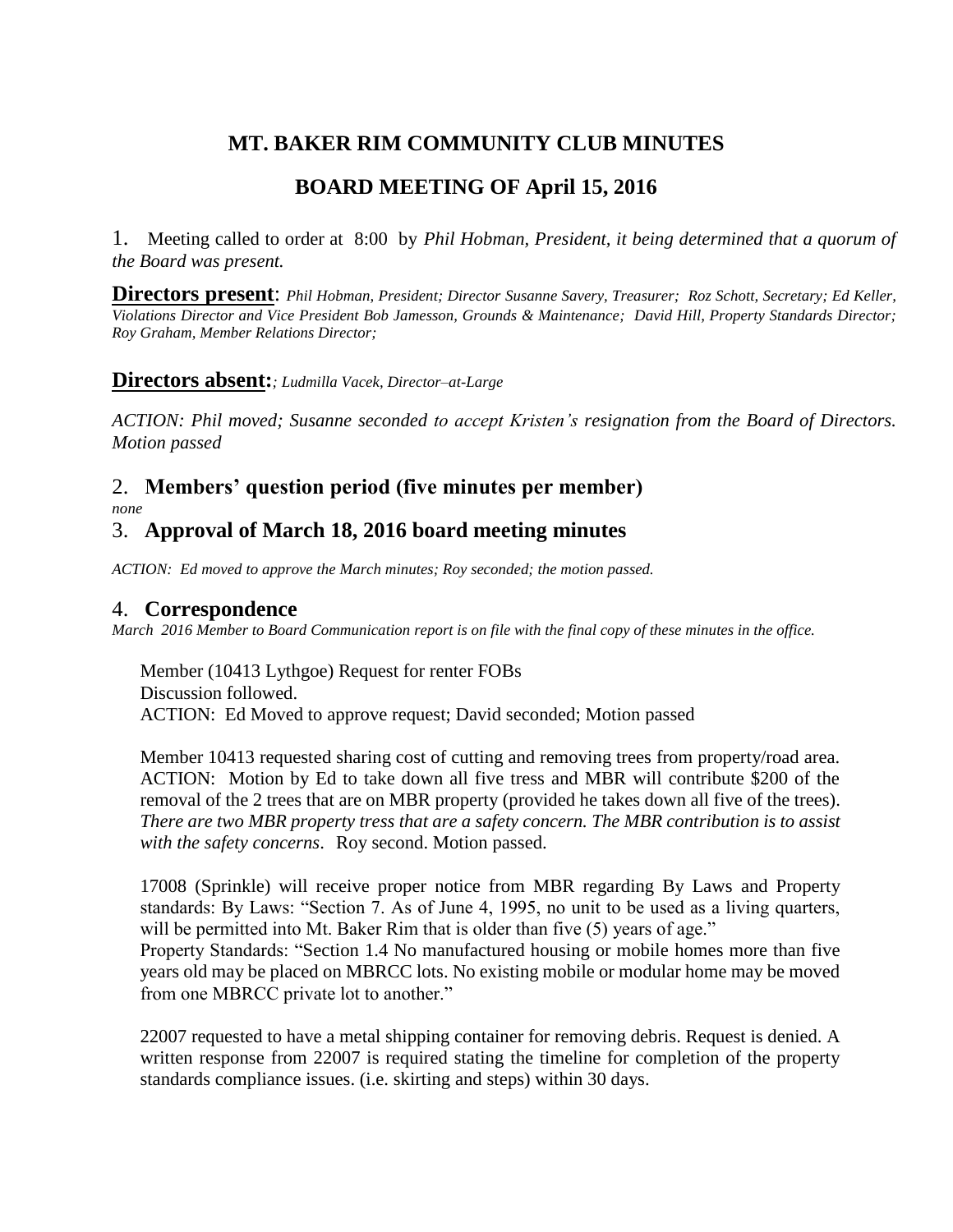# **MT. BAKER RIM COMMUNITY CLUB MINUTES**

# **BOARD MEETING OF April 15, 2016**

1. Meeting called to order at 8:00 by *Phil Hobman, President, it being determined that a quorum of the Board was present.* 

**Directors present**: *Phil Hobman, President; Director Susanne Savery, Treasurer; Roz Schott, Secretary; Ed Keller, Violations Director and Vice President Bob Jamesson, Grounds & Maintenance; David Hill, Property Standards Director; Roy Graham, Member Relations Director;* 

#### **Directors absent:***; Ludmilla Vacek, Director–at-Large*

*ACTION: Phil moved; Susanne seconded to accept Kristen's resignation from the Board of Directors. Motion passed*

## 2. **Members' question period (five minutes per member)** *none*

## 3. **Approval of March 18, 2016 board meeting minutes**

*ACTION: Ed moved to approve the March minutes; Roy seconded; the motion passed.*

## 4. **Correspondence**

*March 2016 Member to Board Communication report is on file with the final copy of these minutes in the office.* 

Member (10413 Lythgoe) Request for renter FOBs Discussion followed. ACTION: Ed Moved to approve request; David seconded; Motion passed

Member 10413 requested sharing cost of cutting and removing trees from property/road area. ACTION: Motion by Ed to take down all five tress and MBR will contribute \$200 of the removal of the 2 trees that are on MBR property (provided he takes down all five of the trees). *There are two MBR property tress that are a safety concern. The MBR contribution is to assist with the safety concerns*. Roy second. Motion passed.

17008 (Sprinkle) will receive proper notice from MBR regarding By Laws and Property standards: By Laws: "Section 7. As of June 4, 1995, no unit to be used as a living quarters, will be permitted into Mt. Baker Rim that is older than five (5) years of age."

Property Standards: "Section 1.4 No manufactured housing or mobile homes more than five years old may be placed on MBRCC lots. No existing mobile or modular home may be moved from one MBRCC private lot to another."

22007 requested to have a metal shipping container for removing debris. Request is denied. A written response from 22007 is required stating the timeline for completion of the property standards compliance issues. (i.e. skirting and steps) within 30 days.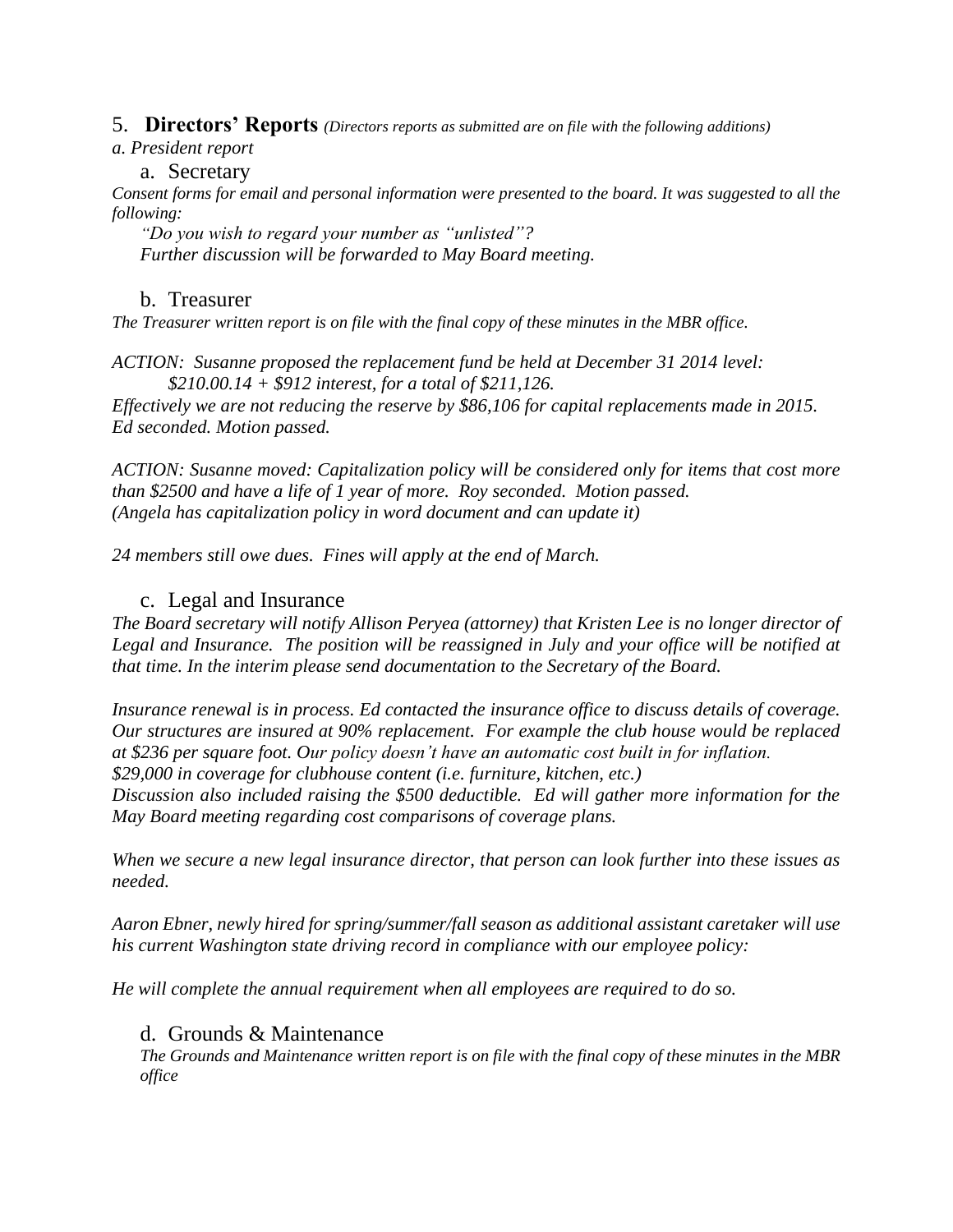5. **Directors' Reports** *(Directors reports as submitted are on file with the following additions)*

#### *a. President report*

#### a. Secretary

*Consent forms for email and personal information were presented to the board. It was suggested to all the following:* 

*"Do you wish to regard your number as "unlisted"? Further discussion will be forwarded to May Board meeting.*

## b. Treasurer

*The Treasurer written report is on file with the final copy of these minutes in the MBR office.*

*ACTION: Susanne proposed the replacement fund be held at December 31 2014 level: \$210.00.14 + \$912 interest, for a total of \$211,126.*

*Effectively we are not reducing the reserve by \$86,106 for capital replacements made in 2015. Ed seconded. Motion passed.*

*ACTION: Susanne moved: Capitalization policy will be considered only for items that cost more than \$2500 and have a life of 1 year of more. Roy seconded. Motion passed. (Angela has capitalization policy in word document and can update it)*

*24 members still owe dues. Fines will apply at the end of March.*

## c. Legal and Insurance

*The Board secretary will notify Allison Peryea (attorney) that Kristen Lee is no longer director of Legal and Insurance. The position will be reassigned in July and your office will be notified at that time. In the interim please send documentation to the Secretary of the Board.*

*Insurance renewal is in process. Ed contacted the insurance office to discuss details of coverage. Our structures are insured at 90% replacement. For example the club house would be replaced at \$236 per square foot. Our policy doesn't have an automatic cost built in for inflation. \$29,000 in coverage for clubhouse content (i.e. furniture, kitchen, etc.)*

*Discussion also included raising the \$500 deductible. Ed will gather more information for the May Board meeting regarding cost comparisons of coverage plans.*

*When we secure a new legal insurance director, that person can look further into these issues as needed.*

*Aaron Ebner, newly hired for spring/summer/fall season as additional assistant caretaker will use his current Washington state driving record in compliance with our employee policy:*

*He will complete the annual requirement when all employees are required to do so.* 

## d. Grounds & Maintenance

*The Grounds and Maintenance written report is on file with the final copy of these minutes in the MBR office*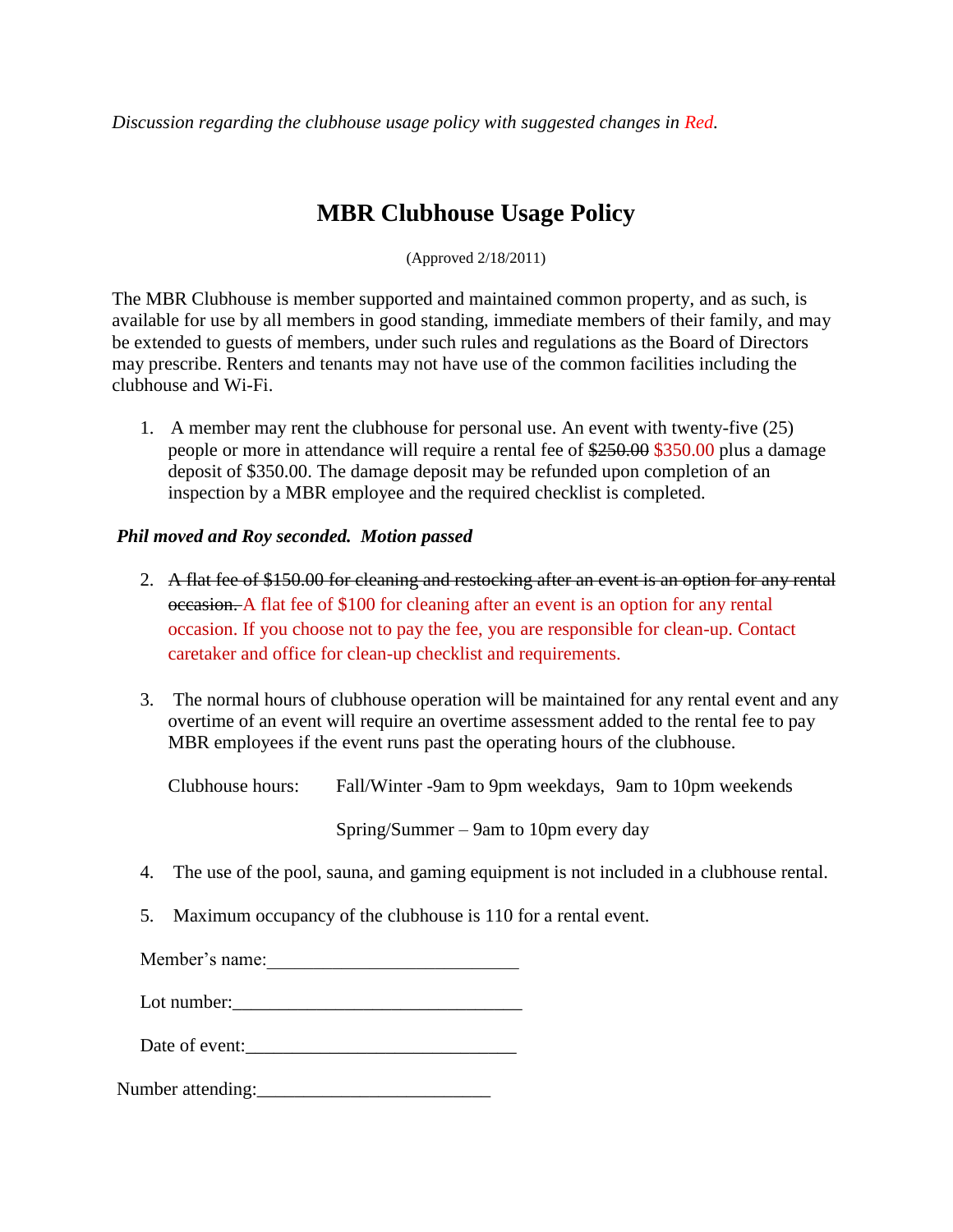*Discussion regarding the clubhouse usage policy with suggested changes in Red.*

# **MBR Clubhouse Usage Policy**

(Approved 2/18/2011)

The MBR Clubhouse is member supported and maintained common property, and as such, is available for use by all members in good standing, immediate members of their family, and may be extended to guests of members, under such rules and regulations as the Board of Directors may prescribe. Renters and tenants may not have use of the common facilities including the clubhouse and Wi-Fi.

1. A member may rent the clubhouse for personal use. An event with twenty-five (25) people or more in attendance will require a rental fee of \$250.00 \$350.00 plus a damage deposit of \$350.00. The damage deposit may be refunded upon completion of an inspection by a MBR employee and the required checklist is completed.

#### *Phil moved and Roy seconded. Motion passed*

- 2. A flat fee of \$150.00 for cleaning and restocking after an event is an option for any rental occasion. A flat fee of \$100 for cleaning after an event is an option for any rental occasion. If you choose not to pay the fee, you are responsible for clean-up. Contact caretaker and office for clean-up checklist and requirements.
- 3. The normal hours of clubhouse operation will be maintained for any rental event and any overtime of an event will require an overtime assessment added to the rental fee to pay MBR employees if the event runs past the operating hours of the clubhouse.

| Clubhouse hours: | Fall/Winter -9am to 9pm weekdays, 9am to 10pm weekends                                     |  |
|------------------|--------------------------------------------------------------------------------------------|--|
|                  | $Spring/Summer - 9am$ to 10pm every day                                                    |  |
|                  | 4. The use of the pool, sauna, and gaming equipment is not included in a clubhouse rental. |  |

- 
- 5. Maximum occupancy of the clubhouse is 110 for a rental event.

Member's name:

Lot number:  $\qquad \qquad \qquad$ 

Date of event:

Number attending: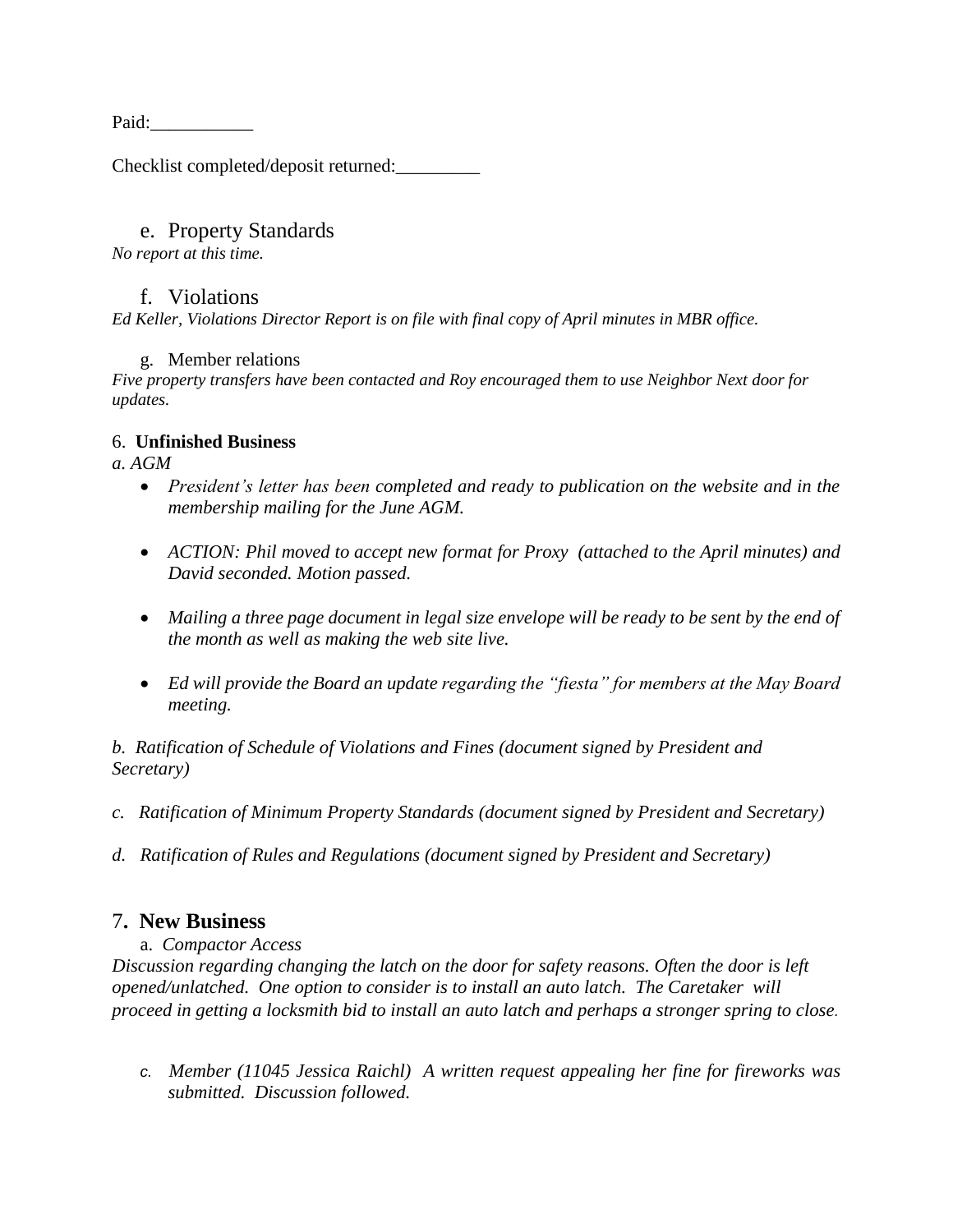Paid:

Checklist completed/deposit returned:\_\_\_\_\_\_\_\_\_

#### e. Property Standards

*No report at this time.*

### f. Violations

*Ed Keller, Violations Director Report is on file with final copy of April minutes in MBR office.*

#### g. Member relations

*Five property transfers have been contacted and Roy encouraged them to use Neighbor Next door for updates.*

#### 6. **Unfinished Business**

*a. AGM*

- *President's letter has been completed and ready to publication on the website and in the membership mailing for the June AGM.*
- *ACTION: Phil moved to accept new format for Proxy (attached to the April minutes) and David seconded. Motion passed.*
- Mailing a three page document in legal size envelope will be ready to be sent by the end of *the month as well as making the web site live.*
- *Ed will provide the Board an update regarding the "fiesta" for members at the May Board meeting.*

*b. Ratification of Schedule of Violations and Fines (document signed by President and Secretary)*

- *c. Ratification of Minimum Property Standards (document signed by President and Secretary)*
- *d. Ratification of Rules and Regulations (document signed by President and Secretary)*

## 7**. New Business**

a. *Compactor Access*

*Discussion regarding changing the latch on the door for safety reasons. Often the door is left opened/unlatched. One option to consider is to install an auto latch. The Caretaker will proceed in getting a locksmith bid to install an auto latch and perhaps a stronger spring to close.*

*c. Member (11045 Jessica Raichl) A written request appealing her fine for fireworks was submitted. Discussion followed.*